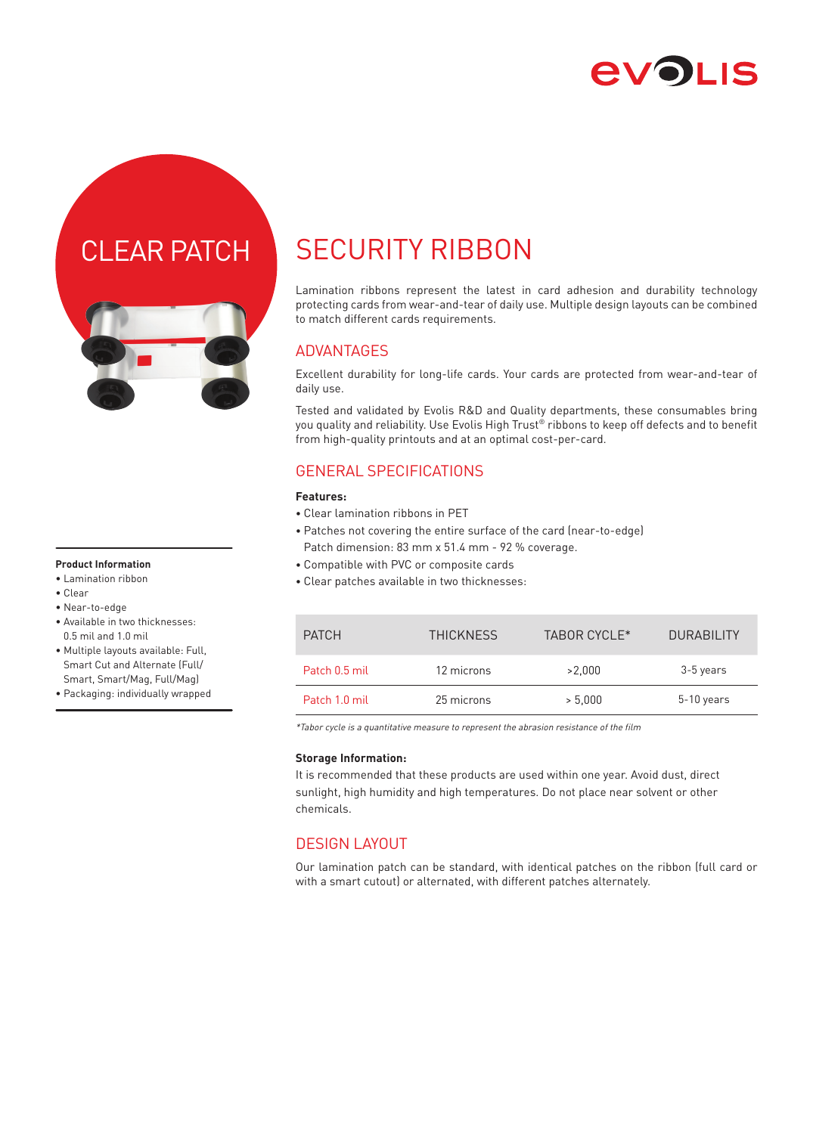

## CLEAR PATCH



#### **Product Information**

- Lamination ribbon
- Clear
- Near-to-edge
- Available in two thicknesses: 0.5 mil and 1.0 mil
- Multiple layouts available: Full, Smart Cut and Alternate (Full/ Smart, Smart/Mag, Full/Mag)
- Packaging: individually wrapped

# SECURITY RIBBON

Lamination ribbons represent the latest in card adhesion and durability technology protecting cards from wear-and-tear of daily use. Multiple design layouts can be combined to match different cards requirements.

#### ADVANTAGES

Excellent durability for long-life cards. Your cards are protected from wear-and-tear of daily use.

Tested and validated by Evolis R&D and Quality departments, these consumables bring you quality and reliability. Use Evolis High Trust® ribbons to keep off defects and to benefit from high-quality printouts and at an optimal cost-per-card.

### GENERAL SPECIFICATIONS

#### **Features:**

- Clear lamination ribbons in PET
- Patches not covering the entire surface of the card (near-to-edge) Patch dimension: 83 mm x 51.4 mm - 92 % coverage.
- Compatible with PVC or composite cards
- Clear patches available in two thicknesses:

| <b>PATCH</b>  | <b>THICKNESS</b> | TABOR CYCLE* | <b>DURABILITY</b> |
|---------------|------------------|--------------|-------------------|
| Patch 0.5 mil | 12 microns       | >2.000       | 3-5 years         |
| Patch 1.0 mil | 25 microns       | > 5.000      | $5-10$ years      |

\*Tabor cycle is a quantitative measure to represent the abrasion resistance of the film

#### **Storage Information:**

It is recommended that these products are used within one year. Avoid dust, direct sunlight, high humidity and high temperatures. Do not place near solvent or other chemicals.

### DESIGN LAYOUT

Our lamination patch can be standard, with identical patches on the ribbon (full card or with a smart cutout) or alternated, with different patches alternately.